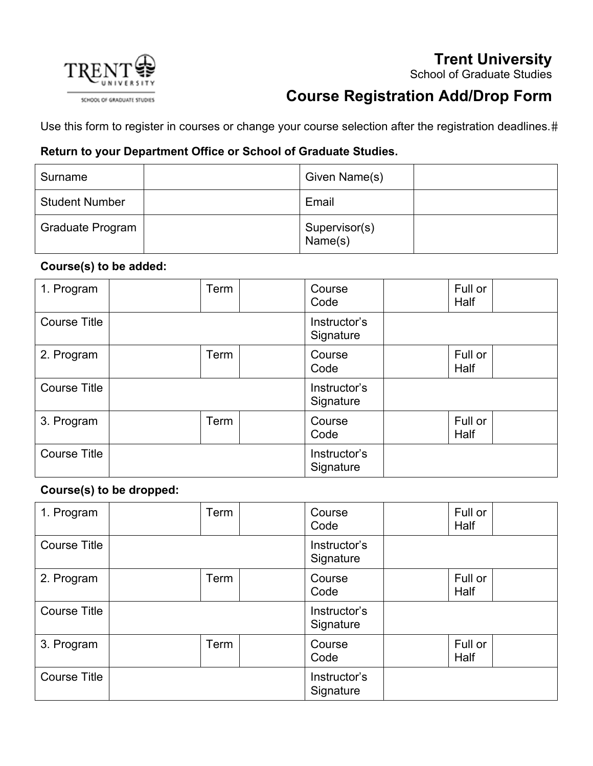# **Trent University**





# **Course Registration Add/Drop Form**

Use this form to register in courses or change your course selection after the registration deadlines.#

## **Return to your Department Office or School of Graduate Studies.**

| Surname               | Given Name(s)            |  |
|-----------------------|--------------------------|--|
| <b>Student Number</b> | Email                    |  |
| Graduate Program      | Supervisor(s)<br>Name(s) |  |

### **Course(s) to be added:**

| 1. Program          | Term | Course<br>Code            | Full or<br>Half |  |
|---------------------|------|---------------------------|-----------------|--|
| <b>Course Title</b> |      | Instructor's<br>Signature |                 |  |
| 2. Program          | Term | Course<br>Code            | Full or<br>Half |  |
| <b>Course Title</b> |      | Instructor's<br>Signature |                 |  |
| 3. Program          | Term | Course<br>Code            | Full or<br>Half |  |
| <b>Course Title</b> |      | Instructor's<br>Signature |                 |  |

### **Course(s) to be dropped:**

| 1. Program          | <b>Term</b> | Course<br>Code            | Full or<br>Half |
|---------------------|-------------|---------------------------|-----------------|
| <b>Course Title</b> |             | Instructor's<br>Signature |                 |
| 2. Program          | Term        | Course<br>Code            | Full or<br>Half |
| <b>Course Title</b> |             | Instructor's<br>Signature |                 |
| 3. Program          | <b>Term</b> | Course<br>Code            | Full or<br>Half |
| <b>Course Title</b> |             | Instructor's<br>Signature |                 |